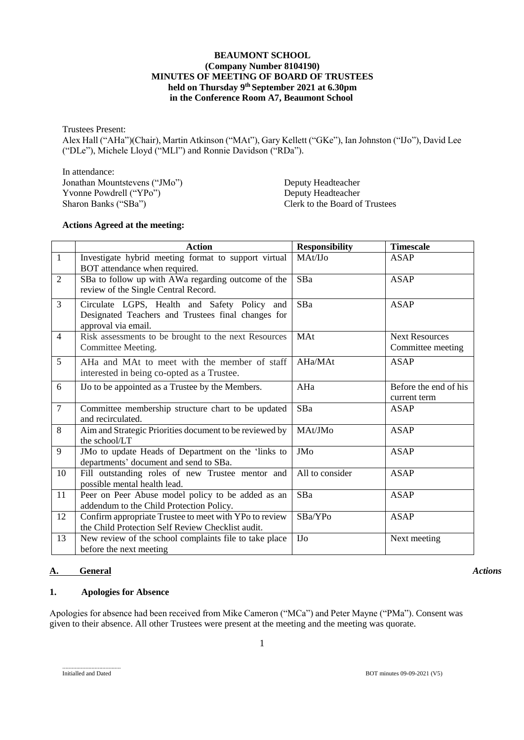# **BEAUMONT SCHOOL (Company Number 8104190) MINUTES OF MEETING OF BOARD OF TRUSTEES held on Thursday 9 th September 2021 at 6.30pm in the Conference Room A7, Beaumont School**

Trustees Present: Alex Hall ("AHa")(Chair), Martin Atkinson ("MAt"), Gary Kellett ("GKe"), Ian Johnston ("IJo"), David Lee ("DLe"), Michele Lloyd ("MLl") and Ronnie Davidson ("RDa").

In attendance: Jonathan Mountstevens ("JMo") Deputy Headteacher Yvonne Powdrell ("YPo")<br>Sharon Banks ("SBa")

Clerk to the Board of Trustees

# **Actions Agreed at the meeting:**

|                | <b>Action</b>                                                                                                             | <b>Responsibility</b> | <b>Timescale</b>                           |
|----------------|---------------------------------------------------------------------------------------------------------------------------|-----------------------|--------------------------------------------|
| $\mathbf{1}$   | Investigate hybrid meeting format to support virtual<br>BOT attendance when required.                                     | MAt/IJo               | <b>ASAP</b>                                |
| 2              | SBa to follow up with AWa regarding outcome of the<br>review of the Single Central Record.                                | SBa                   | <b>ASAP</b>                                |
| 3              | Circulate LGPS, Health and Safety Policy and<br>Designated Teachers and Trustees final changes for<br>approval via email. | SBa                   | <b>ASAP</b>                                |
| $\overline{4}$ | Risk assessments to be brought to the next Resources<br>Committee Meeting.                                                | MAt                   | <b>Next Resources</b><br>Committee meeting |
| $\mathfrak{S}$ | AHa and MAt to meet with the member of staff<br>interested in being co-opted as a Trustee.                                | AHa/MAt               | <b>ASAP</b>                                |
| 6              | IJo to be appointed as a Trustee by the Members.                                                                          | AHa                   | Before the end of his<br>current term      |
| $\overline{7}$ | Committee membership structure chart to be updated<br>and recirculated.                                                   | SBa                   | <b>ASAP</b>                                |
| 8              | Aim and Strategic Priorities document to be reviewed by<br>the school/LT                                                  | MAt/JMo               | <b>ASAP</b>                                |
| 9              | JMo to update Heads of Department on the 'links to<br>departments' document and send to SBa.                              | JMo                   | <b>ASAP</b>                                |
| 10             | Fill outstanding roles of new Trustee mentor and<br>possible mental health lead.                                          | All to consider       | <b>ASAP</b>                                |
| 11             | Peer on Peer Abuse model policy to be added as an<br>addendum to the Child Protection Policy.                             | SBa                   | <b>ASAP</b>                                |
| 12             | Confirm appropriate Trustee to meet with YPo to review<br>the Child Protection Self Review Checklist audit.               | SBa/YPo               | <b>ASAP</b>                                |
| 13             | New review of the school complaints file to take place<br>before the next meeting                                         | <b>IJo</b>            | Next meeting                               |

# **A. General**

*Actions*

# **1. Apologies for Absence**

Apologies for absence had been received from Mike Cameron ("MCa") and Peter Mayne ("PMa"). Consent was given to their absence. All other Trustees were present at the meeting and the meeting was quorate.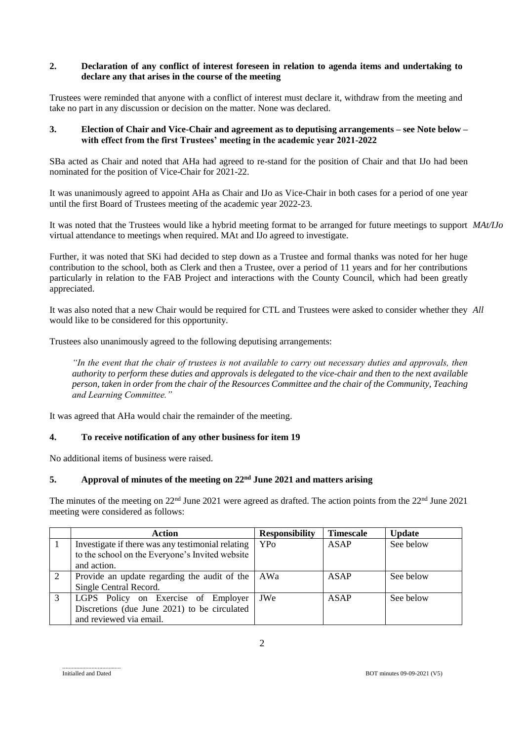# **2. Declaration of any conflict of interest foreseen in relation to agenda items and undertaking to declare any that arises in the course of the meeting**

Trustees were reminded that anyone with a conflict of interest must declare it, withdraw from the meeting and take no part in any discussion or decision on the matter. None was declared.

# **3. Election of Chair and Vice-Chair and agreement as to deputising arrangements – see Note below – with effect from the first Trustees' meeting in the academic year 2021-2022**

SBa acted as Chair and noted that AHa had agreed to re-stand for the position of Chair and that IJo had been nominated for the position of Vice-Chair for 2021-22.

It was unanimously agreed to appoint AHa as Chair and IJo as Vice-Chair in both cases for a period of one year until the first Board of Trustees meeting of the academic year 2022-23.

It was noted that the Trustees would like a hybrid meeting format to be arranged for future meetings to support *MAt/IJo* virtual attendance to meetings when required. MAt and IJo agreed to investigate.

Further, it was noted that SKi had decided to step down as a Trustee and formal thanks was noted for her huge contribution to the school, both as Clerk and then a Trustee, over a period of 11 years and for her contributions particularly in relation to the FAB Project and interactions with the County Council, which had been greatly appreciated.

It was also noted that a new Chair would be required for CTL and Trustees were asked to consider whether they *All*would like to be considered for this opportunity.

Trustees also unanimously agreed to the following deputising arrangements:

*"In the event that the chair of trustees is not available to carry out necessary duties and approvals, then authority to perform these duties and approvals is delegated to the vice-chair and then to the next available person, taken in order from the chair of the Resources Committee and the chair of the Community, Teaching and Learning Committee."*

It was agreed that AHa would chair the remainder of the meeting.

# **4. To receive notification of any other business for item 19**

No additional items of business were raised.

# **5. Approval of minutes of the meeting on 22nd June 2021 and matters arising**

The minutes of the meeting on  $22<sup>nd</sup>$  June 2021 were agreed as drafted. The action points from the  $22<sup>nd</sup>$  June 2021 meeting were considered as follows:

|   | Action                                             | <b>Responsibility</b> | <b>Timescale</b> | <b>Update</b> |
|---|----------------------------------------------------|-----------------------|------------------|---------------|
|   | Investigate if there was any testimonial relating  | <b>YPo</b>            | ASAP             | See below     |
|   | to the school on the Everyone's Invited website    |                       |                  |               |
|   | and action.                                        |                       |                  |               |
| 2 | Provide an update regarding the audit of the   AWa |                       | ASAP             | See below     |
|   | Single Central Record.                             |                       |                  |               |
| 3 | LGPS Policy on Exercise of Employer                | JWe                   | ASAP             | See below     |
|   | Discretions (due June 2021) to be circulated       |                       |                  |               |
|   | and reviewed via email.                            |                       |                  |               |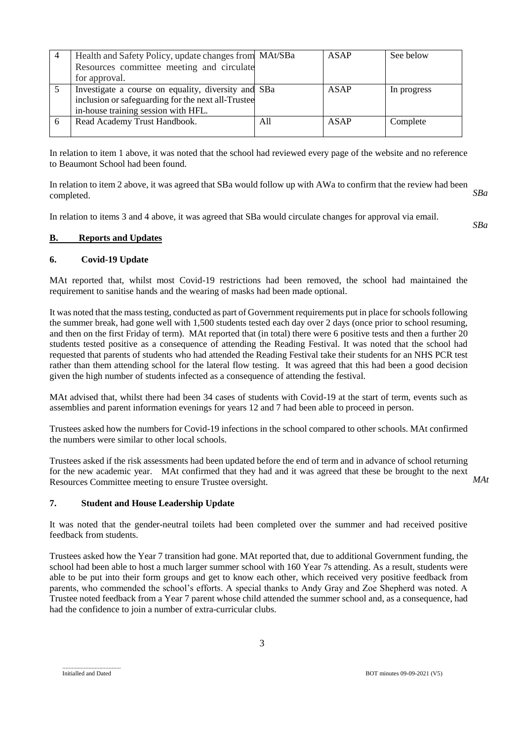| 4 | Health and Safety Policy, update changes from MAt/SBa |     | ASAP | See below   |
|---|-------------------------------------------------------|-----|------|-------------|
|   | Resources committee meeting and circulate             |     |      |             |
|   | for approval.                                         |     |      |             |
|   | Investigate a course on equality, diversity and SBa   |     | ASAP | In progress |
|   | inclusion or safeguarding for the next all-Trustee    |     |      |             |
|   | in-house training session with HFL.                   |     |      |             |
| 6 | Read Academy Trust Handbook.                          | All | ASAP | Complete    |
|   |                                                       |     |      |             |

In relation to item 1 above, it was noted that the school had reviewed every page of the website and no reference to Beaumont School had been found.

In relation to item 2 above, it was agreed that SBa would follow up with AWa to confirm that the review had been completed. *SBa*

In relation to items 3 and 4 above, it was agreed that SBa would circulate changes for approval via email.

*SBa*

# **B. Reports and Updates**

# **6. Covid-19 Update**

MAt reported that, whilst most Covid-19 restrictions had been removed, the school had maintained the requirement to sanitise hands and the wearing of masks had been made optional.

It was noted that the mass testing, conducted as part of Government requirements put in place for schools following the summer break, had gone well with 1,500 students tested each day over 2 days (once prior to school resuming, and then on the first Friday of term). MAt reported that (in total) there were 6 positive tests and then a further 20 students tested positive as a consequence of attending the Reading Festival. It was noted that the school had requested that parents of students who had attended the Reading Festival take their students for an NHS PCR test rather than them attending school for the lateral flow testing. It was agreed that this had been a good decision given the high number of students infected as a consequence of attending the festival.

MAt advised that, whilst there had been 34 cases of students with Covid-19 at the start of term, events such as assemblies and parent information evenings for years 12 and 7 had been able to proceed in person.

Trustees asked how the numbers for Covid-19 infections in the school compared to other schools. MAt confirmed the numbers were similar to other local schools.

Trustees asked if the risk assessments had been updated before the end of term and in advance of school returning for the new academic year. MAt confirmed that they had and it was agreed that these be brought to the next Resources Committee meeting to ensure Trustee oversight. *MAt*

# **7. Student and House Leadership Update**

It was noted that the gender-neutral toilets had been completed over the summer and had received positive feedback from students.

Trustees asked how the Year 7 transition had gone. MAt reported that, due to additional Government funding, the school had been able to host a much larger summer school with 160 Year 7s attending. As a result, students were able to be put into their form groups and get to know each other, which received very positive feedback from parents, who commended the school's efforts. A special thanks to Andy Gray and Zoe Shepherd was noted. A Trustee noted feedback from a Year 7 parent whose child attended the summer school and, as a consequence, had had the confidence to join a number of extra-curricular clubs.

Initialled and Dated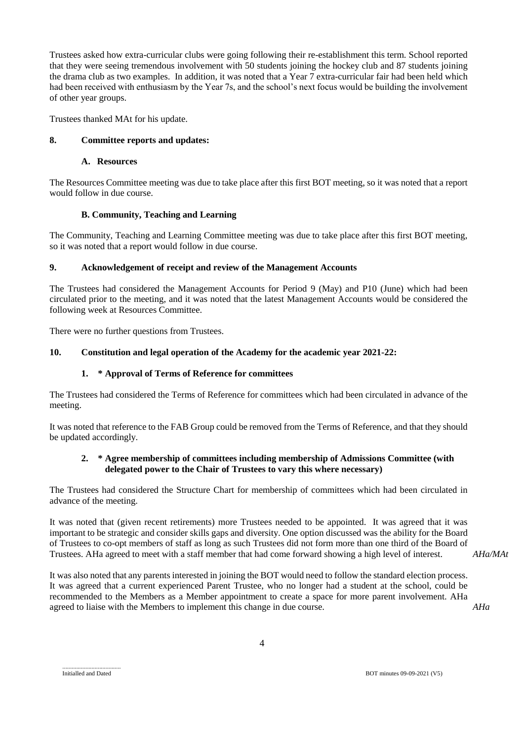Trustees asked how extra-curricular clubs were going following their re-establishment this term. School reported that they were seeing tremendous involvement with 50 students joining the hockey club and 87 students joining the drama club as two examples. In addition, it was noted that a Year 7 extra-curricular fair had been held which had been received with enthusiasm by the Year 7s, and the school's next focus would be building the involvement of other year groups.

Trustees thanked MAt for his update.

# **8. Committee reports and updates:**

### **A. Resources**

The Resources Committee meeting was due to take place after this first BOT meeting, so it was noted that a report would follow in due course.

## **B. Community, Teaching and Learning**

The Community, Teaching and Learning Committee meeting was due to take place after this first BOT meeting, so it was noted that a report would follow in due course.

## **9. Acknowledgement of receipt and review of the Management Accounts**

The Trustees had considered the Management Accounts for Period 9 (May) and P10 (June) which had been circulated prior to the meeting, and it was noted that the latest Management Accounts would be considered the following week at Resources Committee.

There were no further questions from Trustees.

## **10. Constitution and legal operation of the Academy for the academic year 2021-22:**

# **1. \* Approval of Terms of Reference for committees**

The Trustees had considered the Terms of Reference for committees which had been circulated in advance of the meeting.

It was noted that reference to the FAB Group could be removed from the Terms of Reference, and that they should be updated accordingly.

## **2. \* Agree membership of committees including membership of Admissions Committee (with delegated power to the Chair of Trustees to vary this where necessary)**

The Trustees had considered the Structure Chart for membership of committees which had been circulated in advance of the meeting.

It was noted that (given recent retirements) more Trustees needed to be appointed. It was agreed that it was important to be strategic and consider skills gaps and diversity. One option discussed was the ability for the Board of Trustees to co-opt members of staff as long as such Trustees did not form more than one third of the Board of Trustees. AHa agreed to meet with a staff member that had come forward showing a high level of interest. *AHa/MAt*

It was also noted that any parents interested in joining the BOT would need to follow the standard election process. It was agreed that a current experienced Parent Trustee, who no longer had a student at the school, could be recommended to the Members as a Member appointment to create a space for more parent involvement. AHa agreed to liaise with the Members to implement this change in due course. *AHa*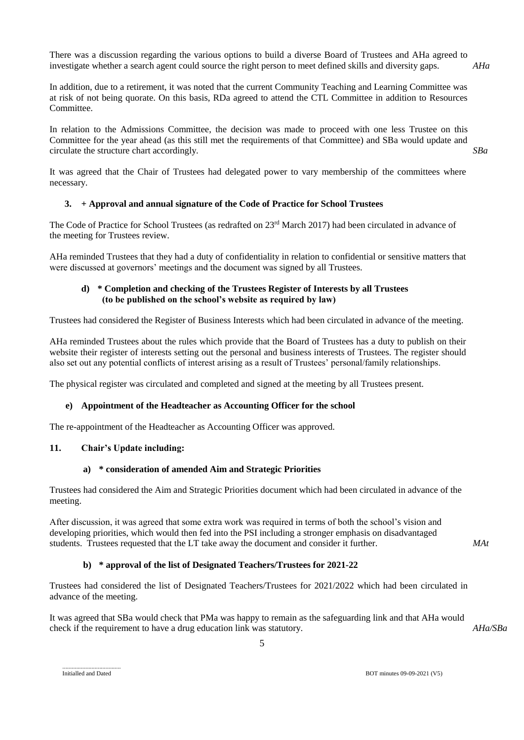There was a discussion regarding the various options to build a diverse Board of Trustees and AHa agreed to investigate whether a search agent could source the right person to meet defined skills and diversity gaps.

*AHa*

In addition, due to a retirement, it was noted that the current Community Teaching and Learning Committee was at risk of not being quorate. On this basis, RDa agreed to attend the CTL Committee in addition to Resources Committee.

In relation to the Admissions Committee, the decision was made to proceed with one less Trustee on this Committee for the year ahead (as this still met the requirements of that Committee) and SBa would update and circulate the structure chart accordingly. *SBa*

It was agreed that the Chair of Trustees had delegated power to vary membership of the committees where necessary.

# **3. + Approval and annual signature of the Code of Practice for School Trustees**

The Code of Practice for School Trustees (as redrafted on 23rd March 2017) had been circulated in advance of the meeting for Trustees review.

AHa reminded Trustees that they had a duty of confidentiality in relation to confidential or sensitive matters that were discussed at governors' meetings and the document was signed by all Trustees.

## **d) \* Completion and checking of the Trustees Register of Interests by all Trustees (to be published on the school's website as required by law)**

Trustees had considered the Register of Business Interests which had been circulated in advance of the meeting.

AHa reminded Trustees about the rules which provide that the Board of Trustees has a duty to publish on their website their register of interests setting out the personal and business interests of Trustees. The register should also set out any potential conflicts of interest arising as a result of Trustees' personal/family relationships.

The physical register was circulated and completed and signed at the meeting by all Trustees present.

### **e) Appointment of the Headteacher as Accounting Officer for the school**

The re-appointment of the Headteacher as Accounting Officer was approved.

#### **11. Chair's Update including:**

#### **a) \* consideration of amended Aim and Strategic Priorities**

Trustees had considered the Aim and Strategic Priorities document which had been circulated in advance of the meeting.

After discussion, it was agreed that some extra work was required in terms of both the school's vision and developing priorities, which would then fed into the PSI including a stronger emphasis on disadvantaged students. Trustees requested that the LT take away the document and consider it further.

#### **b) \* approval of the list of Designated Teachers/Trustees for 2021-22**

Trustees had considered the list of Designated Teachers/Trustees for 2021/2022 which had been circulated in advance of the meeting.

It was agreed that SBa would check that PMa was happy to remain as the safeguarding link and that AHa would check if the requirement to have a drug education link was statutory. *AHa/SBa*

*MAt*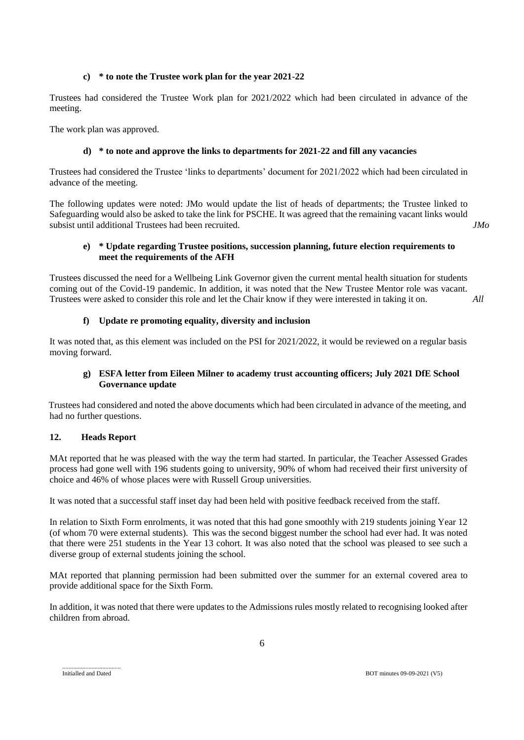## **c) \* to note the Trustee work plan for the year 2021-22**

Trustees had considered the Trustee Work plan for 2021/2022 which had been circulated in advance of the meeting.

The work plan was approved.

# **d) \* to note and approve the links to departments for 2021-22 and fill any vacancies**

Trustees had considered the Trustee 'links to departments' document for 2021/2022 which had been circulated in advance of the meeting.

The following updates were noted: JMo would update the list of heads of departments; the Trustee linked to Safeguarding would also be asked to take the link for PSCHE. It was agreed that the remaining vacant links would subsist until additional Trustees had been recruited. *JMo*

### **e) \* Update regarding Trustee positions, succession planning, future election requirements to meet the requirements of the AFH**

Trustees discussed the need for a Wellbeing Link Governor given the current mental health situation for students coming out of the Covid-19 pandemic. In addition, it was noted that the New Trustee Mentor role was vacant. Trustees were asked to consider this role and let the Chair know if they were interested in taking it on. *All*

## **f) Update re promoting equality, diversity and inclusion**

It was noted that, as this element was included on the PSI for 2021/2022, it would be reviewed on a regular basis moving forward.

# **g) ESFA letter from Eileen Milner to academy trust accounting officers; July 2021 DfE School Governance update**

Trustees had considered and noted the above documents which had been circulated in advance of the meeting, and had no further questions.

### **12. Heads Report**

MAt reported that he was pleased with the way the term had started. In particular, the Teacher Assessed Grades process had gone well with 196 students going to university, 90% of whom had received their first university of choice and 46% of whose places were with Russell Group universities.

It was noted that a successful staff inset day had been held with positive feedback received from the staff.

In relation to Sixth Form enrolments, it was noted that this had gone smoothly with 219 students joining Year 12 (of whom 70 were external students). This was the second biggest number the school had ever had. It was noted that there were 251 students in the Year 13 cohort. It was also noted that the school was pleased to see such a diverse group of external students joining the school.

MAt reported that planning permission had been submitted over the summer for an external covered area to provide additional space for the Sixth Form.

In addition, it was noted that there were updates to the Admissions rules mostly related to recognising looked after children from abroad.

Initialled and Dated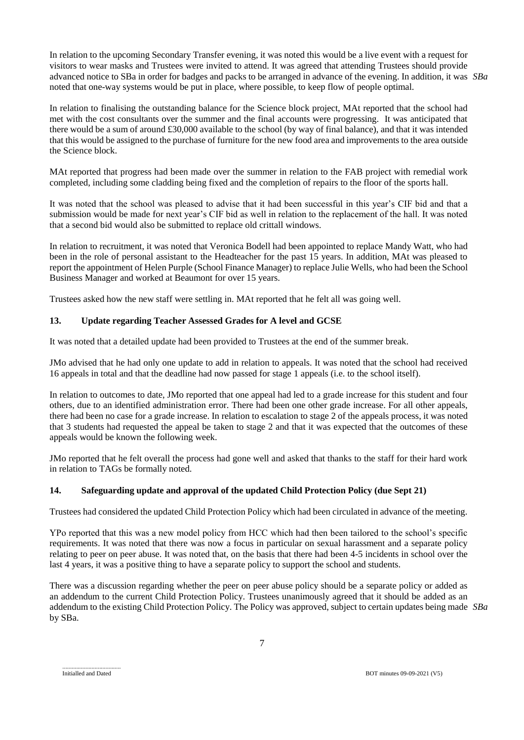In relation to the upcoming Secondary Transfer evening, it was noted this would be a live event with a request for visitors to wear masks and Trustees were invited to attend. It was agreed that attending Trustees should provide advanced notice to SBa in order for badges and packs to be arranged in advance of the evening. In addition, it was *SBa* noted that one-way systems would be put in place, where possible, to keep flow of people optimal.

In relation to finalising the outstanding balance for the Science block project, MAt reported that the school had met with the cost consultants over the summer and the final accounts were progressing. It was anticipated that there would be a sum of around £30,000 available to the school (by way of final balance), and that it was intended that this would be assigned to the purchase of furniture for the new food area and improvements to the area outside the Science block.

MAt reported that progress had been made over the summer in relation to the FAB project with remedial work completed, including some cladding being fixed and the completion of repairs to the floor of the sports hall.

It was noted that the school was pleased to advise that it had been successful in this year's CIF bid and that a submission would be made for next year's CIF bid as well in relation to the replacement of the hall. It was noted that a second bid would also be submitted to replace old crittall windows.

In relation to recruitment, it was noted that Veronica Bodell had been appointed to replace Mandy Watt, who had been in the role of personal assistant to the Headteacher for the past 15 years. In addition, MAt was pleased to report the appointment of Helen Purple (School Finance Manager) to replace Julie Wells, who had been the School Business Manager and worked at Beaumont for over 15 years.

Trustees asked how the new staff were settling in. MAt reported that he felt all was going well.

# **13. Update regarding Teacher Assessed Grades for A level and GCSE**

It was noted that a detailed update had been provided to Trustees at the end of the summer break.

JMo advised that he had only one update to add in relation to appeals. It was noted that the school had received 16 appeals in total and that the deadline had now passed for stage 1 appeals (i.e. to the school itself).

In relation to outcomes to date, JMo reported that one appeal had led to a grade increase for this student and four others, due to an identified administration error. There had been one other grade increase. For all other appeals, there had been no case for a grade increase. In relation to escalation to stage 2 of the appeals process, it was noted that 3 students had requested the appeal be taken to stage 2 and that it was expected that the outcomes of these appeals would be known the following week.

JMo reported that he felt overall the process had gone well and asked that thanks to the staff for their hard work in relation to TAGs be formally noted.

# **14. Safeguarding update and approval of the updated Child Protection Policy (due Sept 21)**

Trustees had considered the updated Child Protection Policy which had been circulated in advance of the meeting.

YPo reported that this was a new model policy from HCC which had then been tailored to the school's specific requirements. It was noted that there was now a focus in particular on sexual harassment and a separate policy relating to peer on peer abuse. It was noted that, on the basis that there had been 4-5 incidents in school over the last 4 years, it was a positive thing to have a separate policy to support the school and students.

There was a discussion regarding whether the peer on peer abuse policy should be a separate policy or added as an addendum to the current Child Protection Policy. Trustees unanimously agreed that it should be added as an addendum to the existing Child Protection Policy. The Policy was approved, subject to certain updates being made *SBa*by SBa.

......................................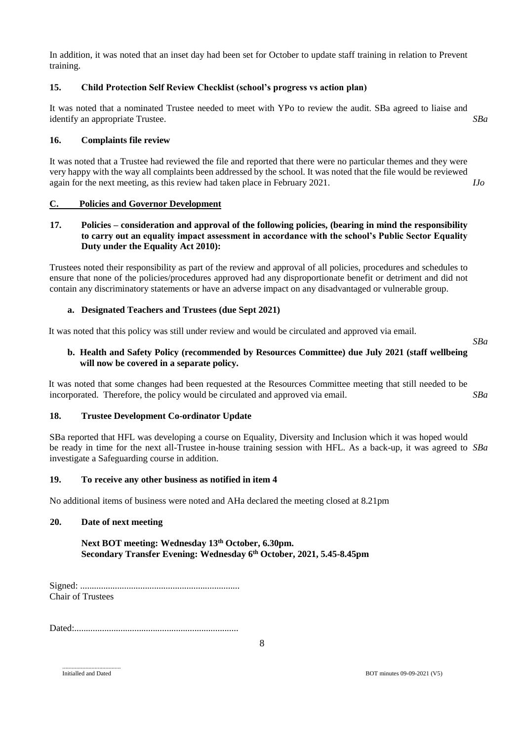In addition, it was noted that an inset day had been set for October to update staff training in relation to Prevent training.

# **15. Child Protection Self Review Checklist (school's progress vs action plan)**

It was noted that a nominated Trustee needed to meet with YPo to review the audit. SBa agreed to liaise and identify an appropriate Trustee. *SBa*

# **16. Complaints file review**

It was noted that a Trustee had reviewed the file and reported that there were no particular themes and they were very happy with the way all complaints been addressed by the school. It was noted that the file would be reviewed again for the next meeting, as this review had taken place in February 2021. *IJo*

## **C. Policies and Governor Development**

# **17. Policies – consideration and approval of the following policies, (bearing in mind the responsibility to carry out an equality impact assessment in accordance with the school's Public Sector Equality Duty under the Equality Act 2010):**

Trustees noted their responsibility as part of the review and approval of all policies, procedures and schedules to ensure that none of the policies/procedures approved had any disproportionate benefit or detriment and did not contain any discriminatory statements or have an adverse impact on any disadvantaged or vulnerable group.

## **a. Designated Teachers and Trustees (due Sept 2021)**

It was noted that this policy was still under review and would be circulated and approved via email.

# **b. Health and Safety Policy (recommended by Resources Committee) due July 2021 (staff wellbeing will now be covered in a separate policy.**

It was noted that some changes had been requested at the Resources Committee meeting that still needed to be incorporated. Therefore, the policy would be circulated and approved via email. *SBa*

### **18. Trustee Development Co-ordinator Update**

SBa reported that HFL was developing a course on Equality, Diversity and Inclusion which it was hoped would be ready in time for the next all-Trustee in-house training session with HFL. As a back-up, it was agreed to *SBa*investigate a Safeguarding course in addition.

### **19. To receive any other business as notified in item 4**

No additional items of business were noted and AHa declared the meeting closed at 8.21pm

### **20. Date of next meeting**

**Next BOT meeting: Wednesday 13th October, 6.30pm. Secondary Transfer Evening: Wednesday 6th October, 2021, 5.45-8.45pm**

Signed: ..................................................................... Chair of Trustees

Dated:.......................................................................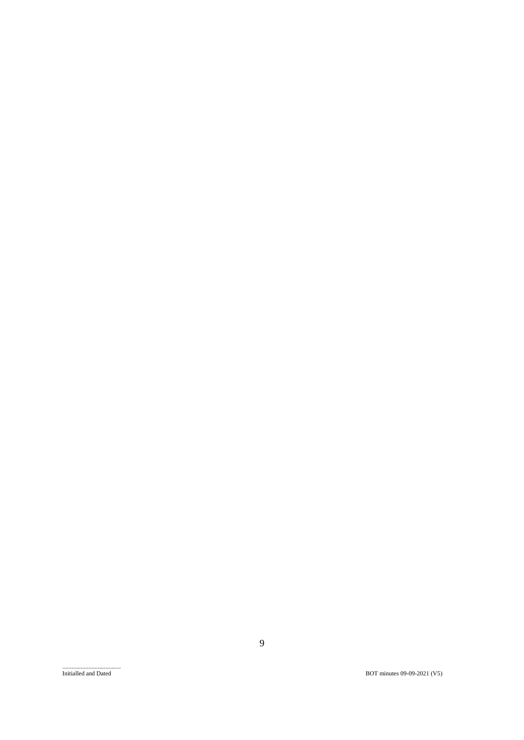<sup>......................................</sup> Initialled and Dated BOT minutes 09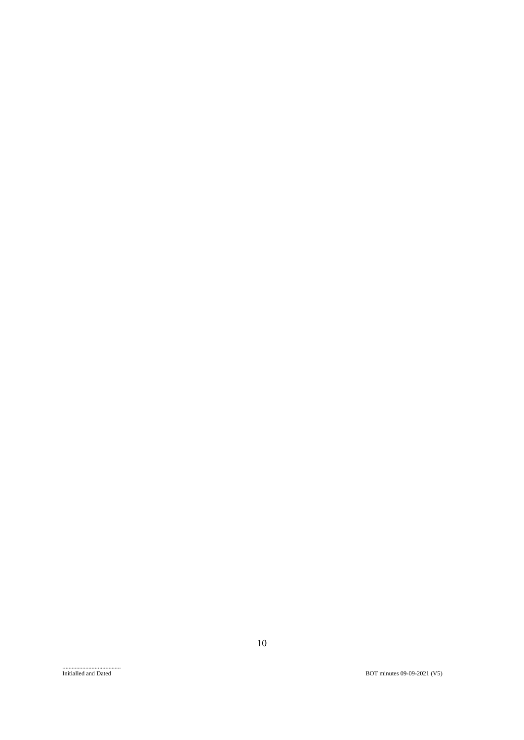Initialled and Dated